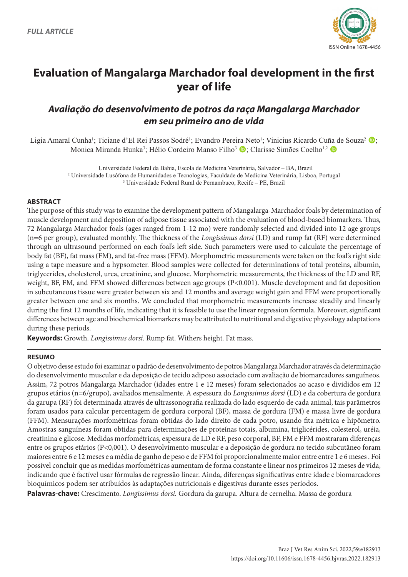

# **Evaluation of Mangalarga Marchador foal development in the first year of life**

# *Avaliação do desenvolvimento de potros da raça Mangalarga Marchador em seu primeiro ano de vida*

Ligia Amaral Cunha<sup>1</sup>; Ticiane d'El Rei Passos Sodré<sup>1</sup>; Evandro Pereira Neto<sup>1</sup>; Vinicius Ricardo Cuña de Souza<sup>2</sup> (D; Monica Miranda Hunka<sup>3</sup>; Hélio Cordeiro Manso Filho<sup>3</sup> (D; Clarisse Simões Coelho<sup>1,2</sup> (D

> <sup>1</sup> Universidade Federal da Bahia, Escola de Medicina Veterinária, Salvador - BA, Brazil 2 Universidade Lusófona de Humanidades e Tecnologias, Faculdade de Medicina Veterinária, Lisboa, Portugal 3 Universidade Federal Rural de Pernambuco, Recife – PE, Brazil

# **ABSTRACT**

The purpose of this study was to examine the development pattern of Mangalarga-Marchador foals by determination of muscle development and deposition of adipose tissue associated with the evaluation of blood-based biomarkers. Thus, 72 Mangalarga Marchador foals (ages ranged from 1-12 mo) were randomly selected and divided into 12 age groups (n=6 per group), evaluated monthly. The thickness of the *Longissimus dorsi* (LD) and rump fat (RF) were determined through an ultrasound performed on each foal's left side. Such parameters were used to calculate the percentage of body fat (BF), fat mass (FM), and fat-free mass (FFM). Morphometric measurements were taken on the foal's right side using a tape measure and a hypsometer. Blood samples were collected for determinations of total proteins, albumin, triglycerides, cholesterol, urea, creatinine, and glucose. Morphometric measurements, the thickness of the LD and RF, weight, BF, FM, and FFM showed differences between age groups (P<0.001). Muscle development and fat deposition in subcutaneous tissue were greater between six and 12 months and average weight gain and FFM were proportionally greater between one and six months. We concluded that morphometric measurements increase steadily and linearly during the first 12 months of life, indicating that it is feasible to use the linear regression formula. Moreover, significant differences between age and biochemical biomarkers may be attributed to nutritional and digestive physiology adaptations during these periods.

**Keywords:** Growth. *Longissimus dorsi.* Rump fat. Withers height. Fat mass.

# **RESUMO**

O objetivo desse estudo foi examinar o padrão de desenvolvimento de potros Mangalarga Marchador através da determinação do desenvolvimento muscular e da deposição de tecido adiposo associado com avaliação de biomarcadores sanguíneos. Assim, 72 potros Mangalarga Marchador (idades entre 1 e 12 meses) foram selecionados ao acaso e divididos em 12 grupos etários (n=6/grupo), avaliados mensalmente. A espessura do *Longissimus dorsi* (LD) e da cobertura de gordura da garupa (RF) foi determinada através de ultrassonografia realizada do lado esquerdo de cada animal, tais parâmetros foram usados para calcular percentagem de gordura corporal (BF), massa de gordura (FM) e massa livre de gordura (FFM). Mensurações morfométricas foram obtidas do lado direito de cada potro, usando fita métrica e hipômetro. Amostras sanguíneas foram obtidas para determinações de proteínas totais, albumina, triglicérides, colesterol, uréia, creatinina e glicose. Medidas morfométricas, espessura de LD e RF, peso corporal, BF, FM e FFM mostraram diferenças entre os grupos etários (P<0,001). O desenvolvimento muscular e a deposição de gordura no tecido subcutâneo foram maiores entre 6 e 12 meses e a média de ganho de peso e de FFM foi proporcionalmente maior entre entre 1 e 6 meses . Foi possível concluir que as medidas morfométricas aumentam de forma constante e linear nos primeiros 12 meses de vida, indicando que é factível usar fórmulas de regressão linear. Ainda, diferenças significativas entre idade e biomarcadores bioquímicos podem ser atribuídos às adaptações nutricionais e digestivas durante esses períodos.

**Palavras-chave:** Crescimento. *Longissimus dorsi.* Gordura da garupa. Altura de cernelha. Massa de gordura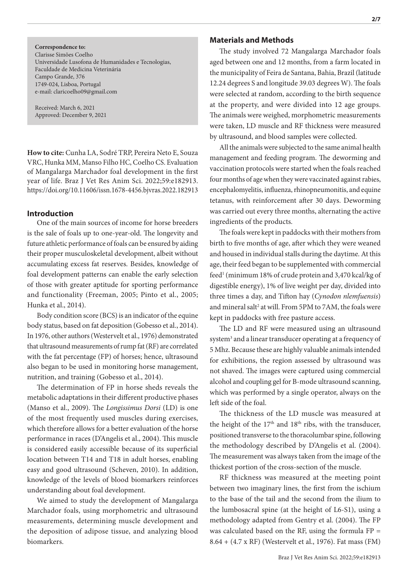**Correspondence to:** Clarisse Simões Coelho Universidade Lusofona de Humanidades e Tecnologias, Faculdade de Medicina Veterinária Campo Grande, 376 1749-024, Lisboa, Portugal e-mail: claricoelho09@gmail.com

Received: March 6, 2021 Approved: December 9, 2021

**How to cite:** Cunha LA, Sodré TRP, Pereira Neto E, Souza VRC, Hunka MM, Manso Filho HC, Coelho CS. Evaluation of Mangalarga Marchador foal development in the first year of life. Braz J Vet Res Anim Sci. 2022;59:e182913. https://doi.org/10.11606/issn.1678-4456.bjvras.2022.182913

### **Introduction**

One of the main sources of income for horse breeders is the sale of foals up to one-year-old. The longevity and future athletic performance of foals can be ensured by aiding their proper musculoskeletal development, albeit without accumulating excess fat reserves. Besides, knowledge of foal development patterns can enable the early selection of those with greater aptitude for sporting performance and functionality (Freeman, 2005; Pinto et al., 2005; Hunka et al., 2014).

Body condition score (BCS) is an indicator of the equine body status, based on fat deposition (Gobesso et al., 2014). In 1976, other authors (Westervelt et al., 1976) demonstrated that ultrasound measurements of rump fat (RF) are correlated with the fat percentage (FP) of horses; hence, ultrasound also began to be used in monitoring horse management, nutrition, and training (Gobesso et al., 2014).

The determination of FP in horse sheds reveals the metabolic adaptations in their different productive phases (Manso et al., 2009). The *Longissimus Dorsi* (LD) is one of the most frequently used muscles during exercises, which therefore allows for a better evaluation of the horse performance in races (D'Angelis et al., 2004). This muscle is considered easily accessible because of its superficial location between T14 and T18 in adult horses, enabling easy and good ultrasound (Scheven, 2010). In addition, knowledge of the levels of blood biomarkers reinforces understanding about foal development.

We aimed to study the development of Mangalarga Marchador foals, using morphometric and ultrasound measurements, determining muscle development and the deposition of adipose tissue, and analyzing blood biomarkers.

### **Materials and Methods**

The study involved 72 Mangalarga Marchador foals aged between one and 12 months, from a farm located in the municipality of Feira de Santana, Bahia, Brazil (latitude 12.24 degrees S and longitude 39.03 degrees W). The foals were selected at random, according to the birth sequence at the property, and were divided into 12 age groups. The animals were weighed, morphometric measurements were taken, LD muscle and RF thickness were measured by ultrasound, and blood samples were collected.

All the animals were subjected to the same animal health management and feeding program. The deworming and vaccination protocols were started when the foals reached four months of age when they were vaccinated against rabies, encephalomyelitis, influenza, rhinopneumonitis, and equine tetanus, with reinforcement after 30 days. Deworming was carried out every three months, alternating the active ingredients of the products.

The foals were kept in paddocks with their mothers from birth to five months of age, after which they were weaned and housed in individual stalls during the daytime. At this age, their feed began to be supplemented with commercial feed<sup>1</sup> (minimum 18% of crude protein and 3,470 kcal/kg of digestible energy), 1% of live weight per day, divided into three times a day, and Tifton hay (*Cynodon nlemfuensis*) and mineral salt<sup>2</sup> at will. From 5PM to 7AM, the foals were kept in paddocks with free pasture access.

The LD and RF were measured using an ultrasound system<sup>3</sup> and a linear transducer operating at a frequency of 5 Mhz. Because these are highly valuable animals intended for exhibitions, the region assessed by ultrasound was not shaved. The images were captured using commercial alcohol and coupling gel for B-mode ultrasound scanning, which was performed by a single operator, always on the left side of the foal.

The thickness of the LD muscle was measured at the height of the  $17<sup>th</sup>$  and  $18<sup>th</sup>$  ribs, with the transducer, positioned transverse to the thoracolumbar spine, following the methodology described by D'Angelis et al. (2004). The measurement was always taken from the image of the thickest portion of the cross-section of the muscle.

RF thickness was measured at the meeting point between two imaginary lines, the first from the ischium to the base of the tail and the second from the ilium to the lumbosacral spine (at the height of L6-S1), using a methodology adapted from Gentry et al. (2004). The FP was calculated based on the RF, using the formula FP = 8.64 + (4.7 x RF) (Westervelt et al., 1976). Fat mass (FM)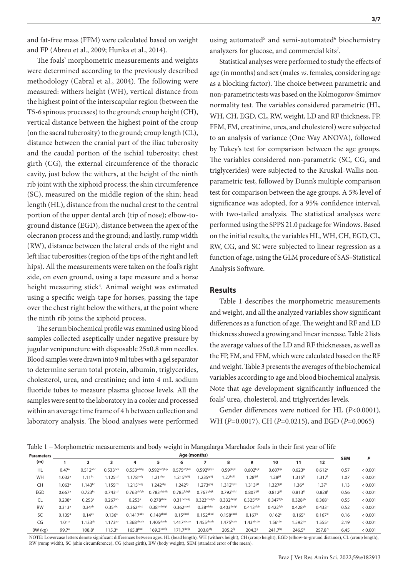and fat-free mass (FFM) were calculated based on weight and FP (Abreu et al., 2009; Hunka et al., 2014).

The foals' morphometric measurements and weights were determined according to the previously described methodology (Cabral et al., 2004). The following were measured: withers height (WH), vertical distance from the highest point of the interscapular region (between the T5-6 spinous processes) to the ground; croup height (CH), vertical distance between the highest point of the croup (on the sacral tuberosity) to the ground; croup length (CL), distance between the cranial part of the iliac tuberosity and the caudal portion of the ischial tuberosity; chest girth (CG), the external circumference of the thoracic cavity, just below the withers, at the height of the ninth rib joint with the xiphoid process; the shin circumference (SC), measured on the middle region of the shin; head length (HL), distance from the nuchal crest to the central portion of the upper dental arch (tip of nose); elbow-toground distance (EGD), distance between the apex of the olecranon process and the ground; and lastly, rump width (RW), distance between the lateral ends of the right and left iliac tuberosities (region of the tips of the right and left hips). All the measurements were taken on the foal's right side, on even ground, using a tape measure and a horse height measuring stick4 . Animal weight was estimated using a specific weigh-tape for horses, passing the tape over the chest right below the withers, at the point where the ninth rib joins the xiphoid process.

The serum biochemical profile was examined using blood samples collected aseptically under negative pressure by jugular venipuncture with disposable 25x0.8 mm needles. Blood samples were drawn into 9 ml tubes with a gel separator to determine serum total protein, albumin, triglycerides, cholesterol, urea, and creatinine; and into 4 mL sodium fluoride tubes to measure plasma glucose levels. All the samples were sent to the laboratory in a cooler and processed within an average time frame of 4 h between collection and laboratory analysis. The blood analyses were performed using automated<sup>5</sup> and semi-automated<sup>6</sup> biochemistry analyzers for glucose, and commercial kits<sup>7</sup>.

Statistical analyses were performed to study the effects of age (in months) and sex (males *vs.* females, considering age as a blocking factor). The choice between parametric and non-parametric tests was based on the Kolmogorov-Smirnov normality test. The variables considered parametric (HL, WH, CH, EGD, CL, RW, weight, LD and RF thickness, FP, FFM, FM, creatinine, urea, and cholesterol) were subjected to an analysis of variance (One Way ANOVA), followed by Tukey's test for comparison between the age groups. The variables considered non-parametric (SC, CG, and triglycerides) were subjected to the Kruskal-Wallis nonparametric test, followed by Dunn's multiple comparison test for comparison between the age groups. A 5% level of significance was adopted, for a 95% confidence interval, with two-tailed analysis. The statistical analyses were performed using the SPPS 21.0 package for Windows. Based on the initial results, the variables HL, WH, CH, EGD, CL, RW, CG, and SC were subjected to linear regression as a function of age, using the GLM procedure of SAS**–**Statistical Analysis Software.

#### **Results**

Table 1 describes the morphometric measurements and weight, and all the analyzed variables show significant differences as a function of age. The weight and RF and LD thickness showed a growing and linear increase. Table 2 lists the average values of the LD and RF thicknesses, as well as the FP, FM, and FFM, which were calculated based on the RF and weight. Table 3 presents the averages of the biochemical variables according to age and blood biochemical analysis. Note that age development significantly influenced the foals' urea, cholesterol, and triglycerides levels.

Gender differences were noticed for HL (*P*<0.0001), WH (*P*=0.0017), CH (*P*=0.0215), and EGD (*P*=0.0065)

Table 1 – Morphometric measurements and body weight in Mangalarga Marchador foals in their first year of life

| <b>Parameters</b> | Age (months)         |                      |                        |                          |                          |                         |                         |                         |                         |                        |                       | <b>SEM</b>           | P    |         |
|-------------------|----------------------|----------------------|------------------------|--------------------------|--------------------------|-------------------------|-------------------------|-------------------------|-------------------------|------------------------|-----------------------|----------------------|------|---------|
| (m)               |                      | 2                    |                        | 4                        | 5                        | 6                       |                         | 8                       | 9                       | 10                     | 11                    | 12                   |      |         |
| HL                | 0.47 <sup>a</sup>    | $0.512^{abc}$        | $0.533$ <sub>bce</sub> | $0.553$ <sup>cdefg</sup> | $0.592$ defghijk         | $0.575$ efghik          | 0.592 <sup>fghijk</sup> | $0.59$ ghijk            | $0.602$ hijk            | $0.607$ <sup>ijk</sup> | $0.623^{jk}$          | 0.612 <sup>k</sup>   | 0.57 | < 0.001 |
| <b>WH</b>         | 1.032a               | $1.11^{bc}$          | 1.125 <sup>cd</sup>    | 1.178defg                | $1.21$ efgh              | 1.215 <sup>fghij</sup>  | 1.235 <sup>ghij</sup>   | 1.27hijkl               | $1.28$ ijkl             | $1.28$ <sup>jkl</sup>  | $.315^{kl}$           | .317 <sup>1</sup>    | 1.07 | < 0.001 |
| <b>CH</b>         | $1.063^{\circ}$      | $1.143^{bc}$         | $1.155^{cd}$           | $1.215$ <sup>defg</sup>  | $1.242$ <sup>efg</sup>   | $1.242^{fg}$            | 1.273 <sup>ghij</sup>   | 1.312 <sup>hijkl</sup>  | $1.313$ <sup>ijkl</sup> | .327 <sup>ikl</sup>    | $1.36$ <sup>kl</sup>  | 1.37 <sup>1</sup>    | 1.13 | < 0.001 |
| EGD               | $0.667$ <sup>a</sup> | $0.723^{bc}$         | 0.743 <sup>cd</sup>    | $0.763$ defgh            | 0.783efghijk             | 0.785 <sup>fghijk</sup> | $0.767$ ghijk           | 0.792hijkl              | 0.807ijkl               | $0.812^{jkl}$          | 0.813k                | 0.828                | 0.56 | < 0.001 |
| <b>CL</b>         | $0.238$ <sup>a</sup> | $0.253$ <sup>a</sup> | $0.267^{ab}$           | $0.253$ <sup>a</sup>     | 0.278abce                | $0.31$ bcdefg           | $0.323$ cdefgh          | $0.332$ defgh           | $0.325$ efgh            | 0.347 <sup>fgh</sup>   | $0.328$ <sup>gh</sup> | 0.368 <sup>h</sup>   | 0.55 | < 0.001 |
| <b>RW</b>         | $0.313$ <sup>a</sup> | $0.34^{ab}$          | $0.35$ abc             | $0.362$ abcd             | $0.38$ bcdefgh           | $0.362$ abcd            | 0.38 <sub>cdefg</sub>   | $0.403$ defgh           | $0.413$ efgh            | $0.422^{fgh}$          | $0.428$ <sup>gh</sup> | 0.433 <sup>h</sup>   | 0.52 | < 0.001 |
| SC                | $0.135^{a}$          | $0.14$ <sup>ac</sup> | $0.136$ <sup>a</sup>   | $0.1417$ <sup>abc</sup>  | $0.148$ <sub>abcd</sub>  | $0.15$ abcd             | $0.152$ abcd            | $0.158$ abcd            | 0.167 <sup>b</sup>      | $0.162$ <sup>a</sup>   | 0.165c                | $0.167$ <sup>d</sup> | 0.16 | < 0.001 |
| CG                | 1.01 <sup>a</sup>    | $1.133^{ab}$         | $1.173^{ab}$           | $1.368$ <sup>abcde</sup> | $1.405$ <sup>abcde</sup> | $1.417$ abcde           | $1.455$ abcde           | $1.475$ <sub>bcde</sub> | 1.43 <sub>abcde</sub>   | $1.56$ <sup>cde</sup>  | $.592$ <sup>de</sup>  | .555e                | 2.19 | < 0.001 |
| BW (kg)           | 99.7 <sup>a</sup>    | 108.8 <sup>a</sup>   | 115.3 <sup>a</sup>     | 165.8 <sup>bcd</sup>     | $169.3$ cdefg            | 171.7defg               | 203.8 <sup>efg</sup>    | 205.2fg                 | 204.3 <sup>9</sup>      | 241.7hij               | 246.5 <sup>ij</sup>   | 257.87               | 6.45 | < 0.001 |

NOTE: Lowercase letters denote significant differences between ages. HL (head length), WH (withers height), CH (croup height), EGD (elbow-to-ground distance), CL (croup length), RW (rump width), SC (shin circumference), CG (chest girth), BW (body weight), SEM (standard error of the mean).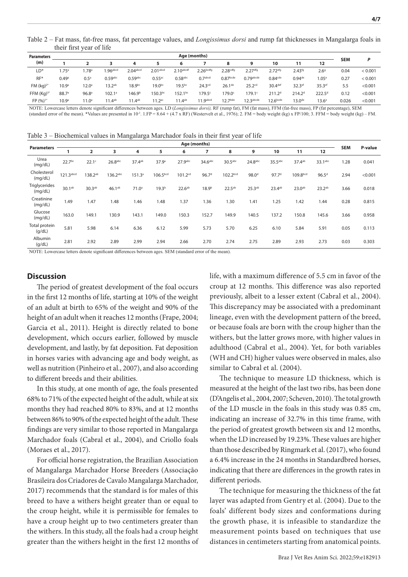Table 2 – Fat mass, fat-free mass, fat percentage values, and *Longissimus dorsi* and rump fat thicknesses in Mangalarga foals in their first year of life

| <b>Parameters</b>    | Age (months)      |                   |                     |                    |                      |                       |                       |                      |                       |                      |                    |                   | P          |         |
|----------------------|-------------------|-------------------|---------------------|--------------------|----------------------|-----------------------|-----------------------|----------------------|-----------------------|----------------------|--------------------|-------------------|------------|---------|
| (m)                  |                   |                   |                     | 4                  |                      | 6                     |                       |                      | 9                     | 10                   |                    | 12                | <b>SEM</b> |         |
| LD <sup>*</sup>      | $1.75^{\circ}$    | .78 <sup>a</sup>  | .96 <sub>abcd</sub> | $2.04$ abcd        | 2.01 <sub>abcd</sub> | 2.10 <sub>abcdf</sub> | 2.26 <sub>bcdfg</sub> | 2.28 <sup>cdfg</sup> | 2.27 <sup>dfg</sup>   | 2.72 <sup>efg</sup>  | $2.43^{fg}$        | 2.69              | 0.04       | < 0.001 |
| $RF*$                | 0.49a             | 0.5 <sup>a</sup>  | $0.59$ abc          | $0.59$ abc         | $0.55$ <sup>ac</sup> | $0.58$ abc            | 0.7 <sub>abcd</sub>   | 0.87 <sub>bcde</sub> | $0.79$ abcde          | 0.84 <sub>cde</sub>  | 0.94 <sup>de</sup> | 1.05e             | 0.27       | < 0.001 |
| FM (kg) <sup>2</sup> | 10.9 <sup>a</sup> | $12.0^{\circ}$    | 13.2 <sup>ab</sup>  | 18.9 <sub>bc</sub> | 19.0 <sub>pc</sub>   | 19.5 <sup>bc</sup>    | 24.3 <sup>cd</sup>    | 26.1 <sup>de</sup>   | 25.2 <sup>cd</sup>    | 30.4def              | 32.3ef             | 35.3ef            | 5.5        | < 0.001 |
| FFM $(Kq)^{3*}$      | 88.7 <sup>a</sup> | 96.8 <sup>a</sup> | $102.1^a$           | 146.9 <sup>b</sup> | $150.3^{bc}$         | $152.1^{bc}$          | $179.5^{\circ}$       | $179.0^{\circ}$      | $179.1^c$             | 211.2 <sup>d</sup>   | 214.2 <sup>d</sup> | $222.5^d$         | 0.12       | < 0.001 |
| FP (%) <sup>1*</sup> | 10.9 <sup>a</sup> | $11.0^a$          | $11.4^{ab}$         | $11.4^{ab}$        | 11.2 <sup>ac</sup>   | $11.4^{ab}$           | 11.9 <sub>abcd</sub>  | 12.7 <sup>bde</sup>  | 12.3 <sub>abcde</sub> | 12.6 <sup>bcde</sup> | $13.0^{de}$        | 13.6 <sup>e</sup> | 0.026      | < 0.001 |

NOTE: Lowercase letters denote significant differences between ages. LD (*Longissimus dorsi),* RF (rump fat), FM (fat mass), FFM (fat-free mass), FP (fat percentage), SEM (standard error of the mean). \*Values are presented in 10-3. 1.FP = 8.64 + (4.7 x RF) (Westervelt et al., 1976); 2. FM = body weight (kg) x FP/100; 3. FFM = body weight (kg) – FM.

Table 3 – Biochemical values in Mangalarga Marchador foals in their first year of life

| <b>Parameters</b>        |                    | Age (months)        |                    |                    |                      |                     |                   |                      |                    |                   |                    |                    |            |         |
|--------------------------|--------------------|---------------------|--------------------|--------------------|----------------------|---------------------|-------------------|----------------------|--------------------|-------------------|--------------------|--------------------|------------|---------|
|                          |                    | $\overline{2}$      | 3                  | 4                  | 5                    | 6                   | 7                 | 8                    | 9                  | 10                | 11                 | 12                 | <b>SEM</b> | P-value |
| Urea<br>(mq/dL)          | 22.7 <sup>bc</sup> | 22.1 <sup>c</sup>   | $26.8$ abc         | 37.4ab             | 37.9 <sup>a</sup>    | 27.9abc             | 34.6abc           | 30.5 <sup>abc</sup>  | 24.8abc            | 35.5abc           | 37.4ab             | 33.1abc            | 1.28       | 0.041   |
| Cholesterol<br>(mq/dL)   | 121.3abcd          | 138.2 <sup>ab</sup> | 136.2abc           | 151.3 <sup>a</sup> | 106.5 <sup>bcd</sup> | 101.2 <sup>cd</sup> | 96.7 <sup>d</sup> | 102.2 <sup>bcd</sup> | 98.0 <sup>d</sup>  | 97.7 <sup>d</sup> | 109.8bcd           | $96.5^{\rm d}$     | 2.94       | < 0.001 |
| Triglycerides<br>(mq/dL) | 30.1ab             | 30.3 <sup>ab</sup>  | 46.1 <sup>ab</sup> | 71.0 <sup>a</sup>  | 19.3 <sup>b</sup>    | 22.6 <sup>ab</sup>  | 18.9 <sup>b</sup> | $22.5^{ab}$          | 25.3 <sup>ab</sup> | 23.4ab            | 23.0 <sup>ab</sup> | 23.2 <sup>ab</sup> | 3.66       | 0.018   |
| Creatinine<br>(mq/dL)    | 1.49               | 1.47                | 1.48               | 1.46               | 1.48                 | 1.37                | 1.36              | 1.30                 | 1.41               | 1.25              | 1.42               | 1.44               | 0.28       | 0.815   |
| Glucose<br>(mq/dL)       | 163.0              | 149.1               | 130.9              | 143.1              | 149.0                | 150.3               | 152.7             | 149.9                | 140.5              | 137.2             | 150.8              | 145.6              | 3.66       | 0.958   |
| Total protein<br>(q/dL)  | 5.81               | 5.98                | 6.14               | 6.36               | 6.12                 | 5.99                | 5.73              | 5.70                 | 6.25               | 6.10              | 5.84               | 5.91               | 0.05       | 0.113   |
| Albumin<br>(g/dL)        | 2.81               | 2.92                | 2.89               | 2.99               | 2.94                 | 2.66                | 2.70              | 2.74                 | 2.75               | 2.89              | 2.93               | 2.73               | 0.03       | 0.303   |

NOTE: Lowercase letters denote significant differences between ages. SEM (standard error of the mean).

#### **Discussion**

The period of greatest development of the foal occurs in the first 12 months of life, starting at 10% of the weight of an adult at birth to 65% of the weight and 90% of the height of an adult when it reaches 12 months (Frape, 2004; Garcia et al., 2011). Height is directly related to bone development, which occurs earlier, followed by muscle development, and lastly, by fat deposition. Fat deposition in horses varies with advancing age and body weight, as well as nutrition (Pinheiro et al., 2007), and also according to different breeds and their abilities.

In this study, at one month of age, the foals presented 68% to 71% of the expected height of the adult, while at six months they had reached 80% to 83%, and at 12 months between 86% to 90% of the expected height of the adult. These findings are very similar to those reported in Mangalarga Marchador foals (Cabral et al., 2004), and Criollo foals (Moraes et al., 2017).

For official horse registration, the Brazilian Association of Mangalarga Marchador Horse Breeders (Associação Brasileira dos Criadores de Cavalo Mangalarga Marchador, 2017) recommends that the standard is for males of this breed to have a withers height greater than or equal to the croup height, while it is permissible for females to have a croup height up to two centimeters greater than the withers. In this study, all the foals had a croup height greater than the withers height in the first 12 months of life, with a maximum difference of 5.5 cm in favor of the croup at 12 months. This difference was also reported previously, albeit to a lesser extent (Cabral et al., 2004). This discrepancy may be associated with a predominant lineage, even with the development pattern of the breed, or because foals are born with the croup higher than the withers, but the latter grows more, with higher values in adulthood (Cabral et al., 2004). Yet, for both variables (WH and CH) higher values were observed in males, also similar to Cabral et al. (2004).

The technique to measure LD thickness, which is measured at the height of the last two ribs, has been done (D'Angelis et al., 2004, 2007; Scheven, 2010). The total growth of the LD muscle in the foals in this study was 0.85 cm, indicating an increase of 32.7% in this time frame, with the period of greatest growth between six and 12 months, when the LD increased by 19.23%. These values are higher than those described by Ringmark et al. (2017), who found a 6.4% increase in the 24 months in Standardbred horses, indicating that there are differences in the growth rates in different periods.

The technique for measuring the thickness of the fat layer was adapted from Gentry et al. (2004). Due to the foals' different body sizes and conformations during the growth phase, it is infeasible to standardize the measurement points based on techniques that use distances in centimeters starting from anatomical points.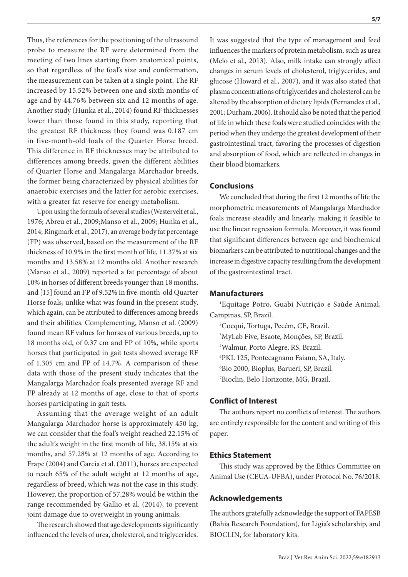Thus, the references for the positioning of the ultrasound probe to measure the RF were determined from the meeting of two lines starting from anatomical points, so that regardless of the foal's size and conformation, the measurement can be taken at a single point. The RF increased by 15.52% between one and sixth months of age and by 44.76% between six and 12 months of age. Another study (Hunka et al., 2014) found RF thicknesses lower than those found in this study, reporting that the greatest RF thickness they found was 0.187 cm in five-month-old foals of the Quarter Horse breed. This difference in RF thicknesses may be attributed to differences among breeds, given the different abilities of Quarter Horse and Mangalarga Marchador breeds, the former being characterized by physical abilities for anaerobic exercises and the latter for aerobic exercises, with a greater fat reserve for energy metabolism.

Upon using the formula of several studies (Westervelt et al., 1976; Abreu et al., 2009;Manso et al., 2009; Hunka et al., 2014; Ringmark et al., 2017), an average body fat percentage (FP) was observed, based on the measurement of the RF thickness of 10.9% in the first month of life, 11.37% at six months and 13.58% at 12 months old. Another research (Manso et al., 2009) reported a fat percentage of about 10% in horses of different breeds younger than 18 months, and [15] found an FP of 9.52% in five-month-old Quarter Horse foals, unlike what was found in the present study, which again, can be attributed to differences among breeds and their abilities. Complementing, Manso et al. (2009) found mean RF values for horses of various breeds, up to 18 months old, of 0.37 cm and FP of 10%, while sports horses that participated in gait tests showed average RF of 1.305 cm and FP of 14.7%. A comparison of these data with those of the present study indicates that the Mangalarga Marchador foals presented average RF and FP already at 12 months of age, close to that of sports horses participating in gait tests.

Assuming that the average weight of an adult Mangalarga Marchador horse is approximately 450 kg, we can consider that the foal's weight reached 22.15% of the adult's weight in the first month of life, 38.15% at six months, and 57.28% at 12 months of age. According to Frape (2004) and Garcia et al. (2011), horses are expected to reach 65% of the adult weight at 12 months of age, regardless of breed, which was not the case in this study. However, the proportion of 57.28% would be within the range recommended by Gallio et al. (2014), to prevent joint damage due to overweight in young animals.

The research showed that age developments significantly influenced the levels of urea, cholesterol, and triglycerides.

It was suggested that the type of management and feed influences the markers of protein metabolism, such as urea (Melo et al., 2013). Also, milk intake can strongly affect changes in serum levels of cholesterol, triglycerides, and glucose (Howard et al., 2007), and it was also stated that plasma concentrations of triglycerides and cholesterol can be altered by the absorption of dietary lipids (Fernandes et al., 2001; Durham, 2006). It should also be noted that the period of life in which these foals were studied coincides with the period when they undergo the greatest development of their gastrointestinal tract, favoring the processes of digestion and absorption of food, which are reflected in changes in their blood biomarkers.

# **Conclusions**

We concluded that during the first 12 months of life the morphometric measurements of Mangalarga Marchador foals increase steadily and linearly, making it feasible to use the linear regression formula. Moreover, it was found that significant differences between age and biochemical biomarkers can be attributed to nutritional changes and the increase in digestive capacity resulting from the development of the gastrointestinal tract.

# **Manufacturers**

1 Equitage Potro, Guabi Nutrição e Saúde Animal, Campinas, SP, Brazil.

2 Coequi, Tortuga, Pecém, CE, Brazil.

3 MyLab Five, Esaote, Monções, SP, Brazil.

4 Walmur, Porto Alegre, RS, Brazil.

5 PKL 125, Pontecagnano Faiano, SA, Italy.

6 Bio 2000, Bioplus, Barueri, SP, Brazil.

7 Bioclin, Belo Horizonte, MG, Brazil.

# **Conflict of Interest**

The authors report no conflicts of interest. The authors are entirely responsible for the content and writing of this paper.

# **Ethics Statement**

This study was approved by the Ethics Committee on Animal Use (CEUA-UFBA), under Protocol No. 76/2018.

# **Acknowledgements**

The authors gratefully acknowledge the support of FAPESB (Bahia Research Foundation), for Ligia's scholarship, and BIOCLIN, for laboratory kits.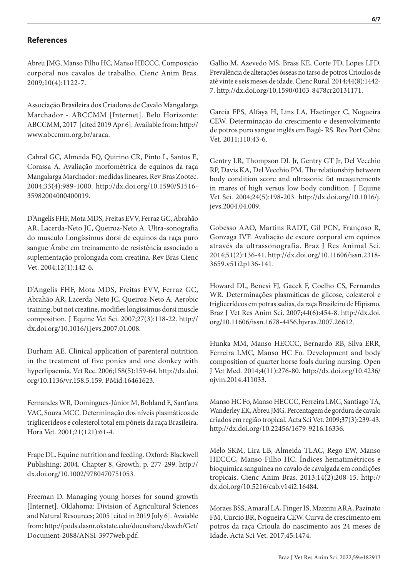# **References**

Abreu JMG, Manso Filho HC, Manso HECCC. Composição corporal nos cavalos de trabalho. Cienc Anim Bras. 2009;10(4):1122-7.

Associação Brasileira dos Criadores de Cavalo Mangalarga Marchador - ABCCMM [Internet]. Belo Horizonte: ABCCMM, 2017 [cited 2019 Apr 6]. Available from: http:// www.abccmm.org.br/araca.

Cabral GC, Almeida FQ, Quirino CR, Pinto L, Santos E, Corassa A. Avaliação morfométrica de equinos da raça Mangalarga Marchador: medidas lineares. Rev Bras Zootec. 2004;33(4):989-1000. [http://dx.doi.org/10.1590/S1516-](https://doi.org/10.1590/S1516-35982004000400019) [35982004000400019](https://doi.org/10.1590/S1516-35982004000400019).

D'Angelis FHF, Mota MDS, Freitas EVV, Ferraz GC, Abrahão AR, Lacerda-Neto JC, Queiroz-Neto A. Ultra-sonografia do musculo Longíssimus dorsi de equinos da raça puro sangue Árabe em treinamento de resistência associado a suplementação prolongada com creatina. Rev Bras Cienc Vet. 2004;12(1):142-6.

D'Angelis FHF, Mota MDS, Freitas EVV, Ferraz GC, Abrahão AR, Lacerda-Neto JC, Queiroz-Neto A. Aerobic training, but not creatine, modifies longissimus dorsi muscle composition. J Equine Vet Sci. 2007;27(3):118-22. [http://](https://doi.org/10.1016/j.jevs.2007.01.008) [dx.doi.org/10.1016/j.jevs.2007.01.008](https://doi.org/10.1016/j.jevs.2007.01.008).

Durham AE. Clinical application of parenteral nutrition in the treatment of five ponies and one donkey with hyperlipaemia. Vet Rec. 2006;158(5):159-64. [http://dx.doi.](https://doi.org/10.1136/vr.158.5.159) [org/10.1136/vr.158.5.159](https://doi.org/10.1136/vr.158.5.159)[. PMid:16461623.](https://www.ncbi.nlm.nih.gov/entrez/query.fcgi?cmd=Retrieve&db=PubMed&list_uids=16461623&dopt=Abstract)

Fernandes WR, Domingues-Júnior M, Bohland E, Sant'ana VAC, Souza MCC. Determinação dos níveis plasmáticos de triglicerídeos e colesterol total em pôneis da raça Brasileira. Hora Vet. 2001;21(121):61-4.

Frape DL. Equine nutrition and feeding. Oxford: Blackwell Publishing; 2004. Chapter 8, Growth; p. 277-299. [http://](https://doi.org/10.1002/9780470751053) [dx.doi.org/10.1002/9780470751053.](https://doi.org/10.1002/9780470751053)

Freeman D. Managing young horses for sound growth [Internet]. Oklahoma: Division of Agricultural Sciences and Natural Resources; 2005 [cited in 2019 July 6]. Avaiable from: http://pods.dasnr.okstate.edu/docushare/dsweb/Get/ Document-2088/ANSI-3977web.pdf.

Gallio M, Azevedo MS, Brass KE, Corte FD, Lopes LFD. Prevalência de alterações ósseas no tarso de potros Crioulos de até vinte e seis meses de idade. Cienc Rural. 2014;44(8):1442- 7. [http://dx.doi.org/10.1590/0103-8478cr20131171.](https://doi.org/10.1590/0103-8478cr20131171)

Garcia FPS, Alfaya H, Lins LA, Haetinger C, Nogueira CEW. Determinação do crescimento e desenvolvimento de potros puro sangue inglês em Bagé- RS. Rev Port Ciênc Vet. 2011;110:43-6.

Gentry LR, Thompson DL Jr, Gentry GT Jr, Del Vecchio RP, Davis KA, Del Vecchio PM. The relationship between body condition score and ultrasonic fat measurements in mares of high versus low body condition. J Equine Vet Sci. 2004;24(5):198-203. [http://dx.doi.org/10.1016/j.](https://doi.org/10.1016/j.jevs.2004.04.009) [jevs.2004.04.009.](https://doi.org/10.1016/j.jevs.2004.04.009)

Gobesso AAO, Martins RADT, Gil PCN, Françoso R, Gonzaga IVF. Avaliação de escore corporal em equinos através da ultrassonografia. Braz J Res Animal Sci. 2014;51(2):136-41. [http://dx.doi.org/10.11606/issn.2318-](https://doi.org/10.11606/issn.2318-3659.v51i2p136-141) [3659.v51i2p136-141.](https://doi.org/10.11606/issn.2318-3659.v51i2p136-141)

Howard DL, Benesi FJ, Gacek F, Coelho CS, Fernandes WR. Determinações plasmáticas de glicose, colesterol e triglicerídeos em potras sadias, da raça Brasileiro de Hipismo. Braz J Vet Res Anim Sci. 2007;44(6):454-8. [http://dx.doi.](https://doi.org/10.11606/issn.1678-4456.bjvras.2007.26612) [org/10.11606/issn.1678-4456.bjvras.2007.26612](https://doi.org/10.11606/issn.1678-4456.bjvras.2007.26612).

Hunka MM, Manso HECCC, Bernardo RB, Silva ERR, Ferreira LMC, Manso HC Fo. Development and body composition of quarter horse foals during nursing. Open J Vet Med. 2014;4(11):276-80. [http://dx.doi.org/10.4236/](https://doi.org/10.4236/ojvm.2014.411033) [ojvm.2014.411033](https://doi.org/10.4236/ojvm.2014.411033).

Manso HC Fo, Manso HECCC, Ferreira LMC, Santiago TA, Wanderley EK, Abreu JMG. Percentagem de gordura de cavalo criados em região tropical. Acta Sci Vet. 2009;37(3):239-43. [http://dx.doi.org/10.22456/1679-9216.16336](https://doi.org/10.22456/1679-9216.16336).

Melo SKM, Lira LB, Almeida TLAC, Rego EW, Manso HECCC, Manso Filho HC. Índices hematimétricos e bioquímica sanguínea no cavalo de cavalgada em condições tropicais. Cienc Anim Bras. 2013;14(2):208-15. [http://](https://doi.org/10.5216/cab.v14i2.16484) [dx.doi.org/10.5216/cab.v14i2.16484](https://doi.org/10.5216/cab.v14i2.16484).

Moraes BSS, Amaral LA, Finger IS, Mazzini ARA, Pazinato FM, Curcio BR, Nogueira CEW. Curva de crescimento em potros da raça Crioula do nascimento aos 24 meses de Idade. Acta Sci Vet. 2017;45:1474.